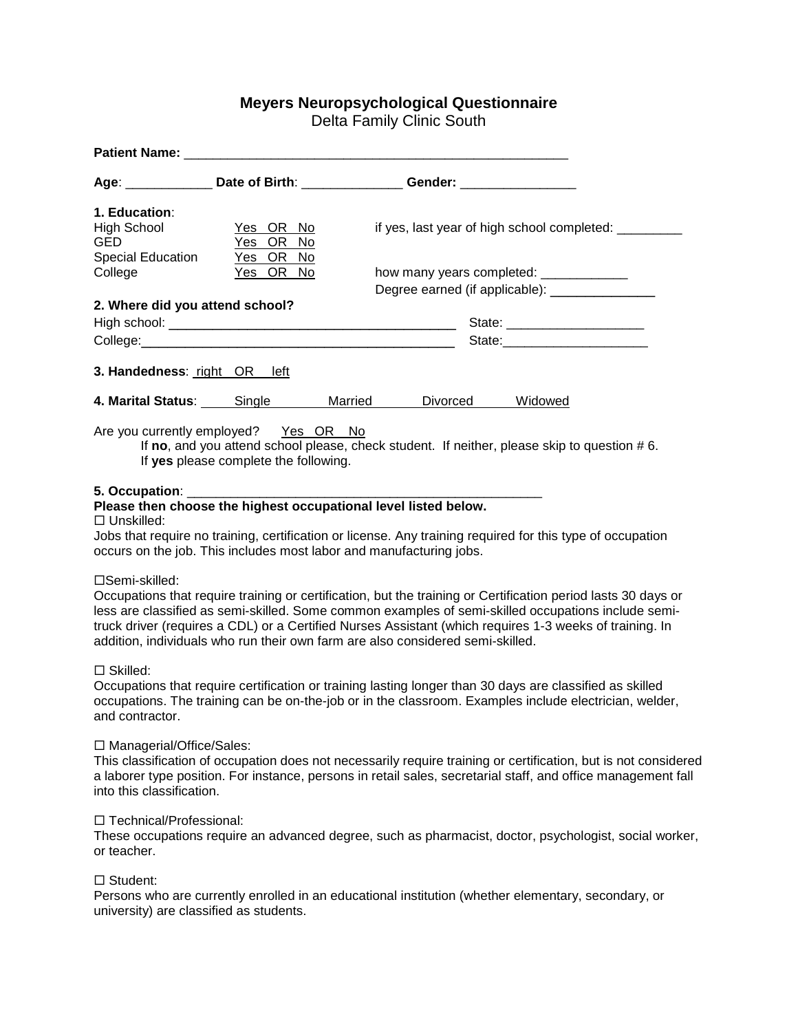# **Meyers Neuropsychological Questionnaire**

Delta Family Clinic South

|                                       |                                       | Age: _______________ Date of Birth: _________________ Gender: __________________            |  |  |  |
|---------------------------------------|---------------------------------------|---------------------------------------------------------------------------------------------|--|--|--|
| 1. Education:                         |                                       |                                                                                             |  |  |  |
| High School<br><b>GED</b>             | <u>Yes OR No</u><br>Yes OR No         | if yes, last year of high school completed: ________                                        |  |  |  |
| <b>Special Education</b><br>College   | Yes OR No<br>Yes OR No                | how many years completed: ______________                                                    |  |  |  |
|                                       |                                       | Degree earned (if applicable): ______________                                               |  |  |  |
| 2. Where did you attend school?       |                                       |                                                                                             |  |  |  |
|                                       |                                       | State: ________________________                                                             |  |  |  |
|                                       |                                       |                                                                                             |  |  |  |
| 3. Handedness: right OR left          |                                       |                                                                                             |  |  |  |
| <b>4. Marital Status:</b> Single      |                                       | Married<br>Divorced<br>Widowed                                                              |  |  |  |
| Are you currently employed? Yes OR No | If yes please complete the following. | If no, and you attend school please, check student. If neither, please skip to question #6. |  |  |  |

## **5. Occupation**: \_\_\_\_\_\_\_\_\_\_\_\_\_\_\_\_\_\_\_\_\_\_\_\_\_\_\_\_\_\_\_\_\_\_\_\_\_\_\_\_\_\_\_\_\_\_\_\_\_

## **Please then choose the highest occupational level listed below.**

□ Unskilled:

Jobs that require no training, certification or license. Any training required for this type of occupation occurs on the job. This includes most labor and manufacturing jobs.

#### □Semi-skilled:

Occupations that require training or certification, but the training or Certification period lasts 30 days or less are classified as semi-skilled. Some common examples of semi-skilled occupations include semitruck driver (requires a CDL) or a Certified Nurses Assistant (which requires 1-3 weeks of training. In addition, individuals who run their own farm are also considered semi-skilled.

Skilled:

Occupations that require certification or training lasting longer than 30 days are classified as skilled occupations. The training can be on-the-job or in the classroom. Examples include electrician, welder, and contractor.

#### □ Managerial/Office/Sales:

This classification of occupation does not necessarily require training or certification, but is not considered a laborer type position. For instance, persons in retail sales, secretarial staff, and office management fall into this classification.

#### □ Technical/Professional:

These occupations require an advanced degree, such as pharmacist, doctor, psychologist, social worker, or teacher.

# □ Student:

Persons who are currently enrolled in an educational institution (whether elementary, secondary, or university) are classified as students.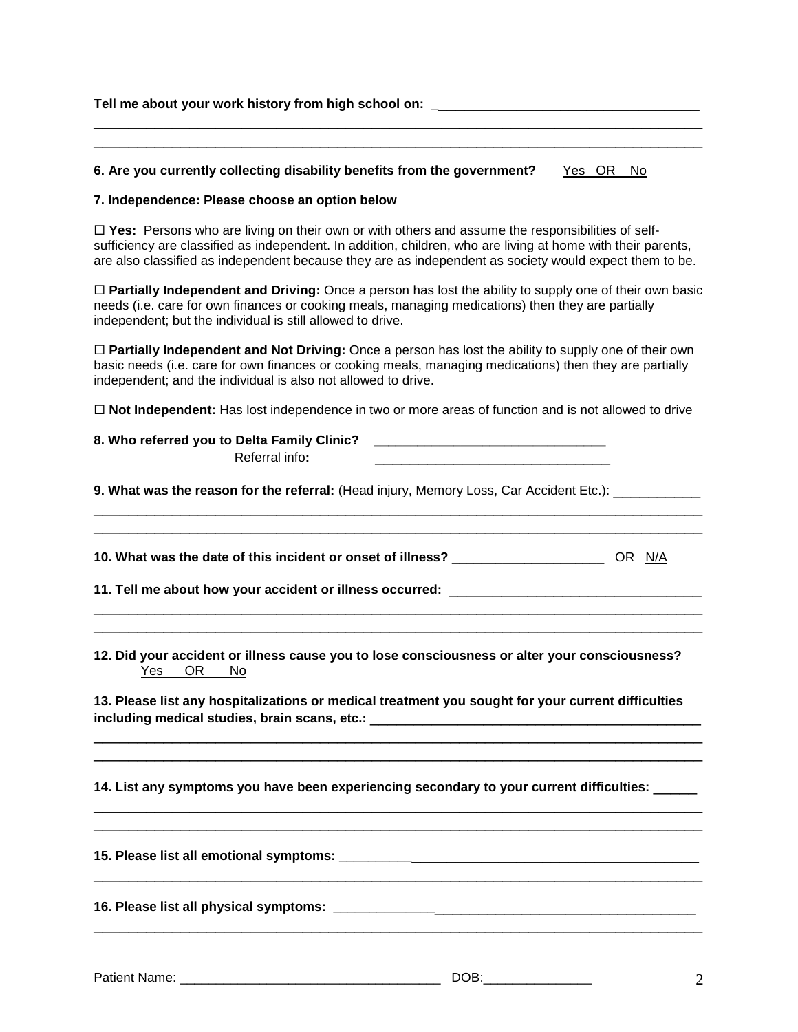| Tell me about your work history from high school on: |  |
|------------------------------------------------------|--|
|                                                      |  |

## **6. Are you currently collecting disability benefits from the government?** Yes OR No

## **7. Independence: Please choose an option below**

□ Yes: Persons who are living on their own or with others and assume the responsibilities of selfsufficiency are classified as independent. In addition, children, who are living at home with their parents, are also classified as independent because they are as independent as society would expect them to be.

 **Partially Independent and Driving:** Once a person has lost the ability to supply one of their own basic needs (i.e. care for own finances or cooking meals, managing medications) then they are partially independent; but the individual is still allowed to drive.

 **Partially Independent and Not Driving:** Once a person has lost the ability to supply one of their own basic needs (i.e. care for own finances or cooking meals, managing medications) then they are partially independent; and the individual is also not allowed to drive.

**Not Independent:** Has lost independence in two or more areas of function and is not allowed to drive

\_\_\_\_\_\_\_\_\_\_\_\_\_\_\_\_\_\_\_\_\_\_\_\_\_\_\_\_\_\_\_\_\_\_\_\_\_\_\_\_\_\_\_\_\_\_\_\_\_\_\_\_\_\_\_\_\_\_\_\_\_\_\_\_\_\_\_\_\_\_ \_\_\_\_\_\_\_\_\_\_\_\_\_\_\_\_\_\_\_\_\_\_\_\_\_\_\_\_\_\_\_\_\_\_\_\_\_\_\_\_\_\_\_\_\_\_\_\_\_\_\_\_\_\_\_\_\_\_\_\_\_\_\_\_\_\_\_\_\_\_

\_\_\_\_\_\_\_\_\_\_\_\_\_\_\_\_\_\_\_\_\_\_\_\_\_\_\_\_\_\_\_\_\_\_\_\_\_\_\_\_\_\_\_\_\_\_\_\_\_\_\_\_\_\_\_\_\_\_\_\_\_\_\_\_\_\_\_\_\_\_ \_\_\_\_\_\_\_\_\_\_\_\_\_\_\_\_\_\_\_\_\_\_\_\_\_\_\_\_\_\_\_\_\_\_\_\_\_\_\_\_\_\_\_\_\_\_\_\_\_\_\_\_\_\_\_\_\_\_\_\_\_\_\_\_\_\_\_\_\_\_

# **8. Who referred you to Delta Family Clinic? \_\_\_\_\_\_\_\_\_\_\_\_\_\_\_\_\_\_\_\_\_\_\_\_\_\_\_\_\_\_\_\_** Referral info**:** \_\_\_\_\_\_\_\_\_\_\_\_\_\_\_\_\_\_\_\_\_\_\_\_\_\_\_

**9. What was the reason for the referral:** (Head injury, Memory Loss, Car Accident Etc.): \_\_\_\_\_\_\_\_\_\_

**10. What was the date of this incident or onset of illness?** \_\_\_\_\_\_\_\_\_\_\_\_\_\_\_\_\_\_\_\_\_ OR N/A

|  | 11. Tell me about how your accident or illness occurred: |  |
|--|----------------------------------------------------------|--|
|  |                                                          |  |

**12. Did your accident or illness cause you to lose consciousness or alter your consciousness?** Yes OR No

**13. Please list any hospitalizations or medical treatment you sought for your current difficulties including medical studies, brain scans, etc.:** \_\_\_\_\_\_\_\_\_\_\_\_\_\_\_\_\_\_\_\_\_\_\_\_\_\_\_\_\_\_\_\_\_\_\_\_\_\_

\_\_\_\_\_\_\_\_\_\_\_\_\_\_\_\_\_\_\_\_\_\_\_\_\_\_\_\_\_\_\_\_\_\_\_\_\_\_\_\_\_\_\_\_\_\_\_\_\_\_\_\_\_\_\_\_\_\_\_\_\_\_\_\_\_\_\_\_\_\_ \_\_\_\_\_\_\_\_\_\_\_\_\_\_\_\_\_\_\_\_\_\_\_\_\_\_\_\_\_\_\_\_\_\_\_\_\_\_\_\_\_\_\_\_\_\_\_\_\_\_\_\_\_\_\_\_\_\_\_\_\_\_\_\_\_\_\_\_\_\_

\_\_\_\_\_\_\_\_\_\_\_\_\_\_\_\_\_\_\_\_\_\_\_\_\_\_\_\_\_\_\_\_\_\_\_\_\_\_\_\_\_\_\_\_\_\_\_\_\_\_\_\_\_\_\_\_\_\_\_\_\_\_\_\_\_\_\_\_\_\_ \_\_\_\_\_\_\_\_\_\_\_\_\_\_\_\_\_\_\_\_\_\_\_\_\_\_\_\_\_\_\_\_\_\_\_\_\_\_\_\_\_\_\_\_\_\_\_\_\_\_\_\_\_\_\_\_\_\_\_\_\_\_\_\_\_\_\_\_\_\_

\_\_\_\_\_\_\_\_\_\_\_\_\_\_\_\_\_\_\_\_\_\_\_\_\_\_\_\_\_\_\_\_\_\_\_\_\_\_\_\_\_\_\_\_\_\_\_\_\_\_\_\_\_\_\_\_\_\_\_\_\_\_\_\_\_\_\_\_\_\_

\_\_\_\_\_\_\_\_\_\_\_\_\_\_\_\_\_\_\_\_\_\_\_\_\_\_\_\_\_\_\_\_\_\_\_\_\_\_\_\_\_\_\_\_\_\_\_\_\_\_\_\_\_\_\_\_\_\_\_\_\_\_\_\_\_\_\_\_\_\_

**14. List any symptoms you have been experiencing secondary to your current difficulties:** \_\_\_\_\_

**15. Please list all emotional symptoms: \_\_\_\_\_\_\_\_\_\_**\_\_\_\_\_\_\_\_\_\_\_\_\_\_\_\_\_\_\_\_\_\_\_\_\_\_\_\_\_\_\_\_\_

**16. Please list all physical symptoms: \_\_\_\_\_\_\_\_\_\_\_\_\_\_**\_\_\_\_\_\_\_\_\_\_\_\_\_\_\_\_\_\_\_\_\_\_\_\_\_\_\_\_\_\_